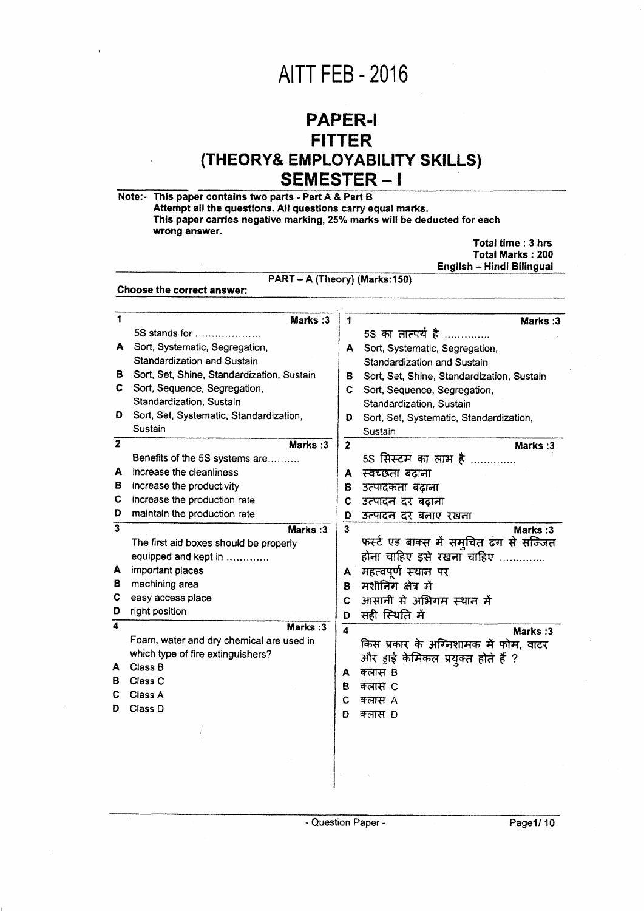## **AITT FEB - 2016**

## **PAPER-I FITTER** (THEORY& EMPLOYABILITY SKILLS) SEMESTER-I

|                                                             |                         | Total time: 3 hrs<br><b>Total Marks: 200</b><br><b>English - Hindi Bilingual</b> |  |  |  |  |
|-------------------------------------------------------------|-------------------------|----------------------------------------------------------------------------------|--|--|--|--|
| PART - A (Theory) (Marks:150)<br>Choose the correct answer: |                         |                                                                                  |  |  |  |  |
|                                                             |                         |                                                                                  |  |  |  |  |
| Marks:3                                                     | 1                       | Marks: 3                                                                         |  |  |  |  |
| $5S$ stands for $\ldots$                                    |                         | 5S का तात्पर्य है                                                                |  |  |  |  |
| Sort, Systematic, Segregation,<br>A.                        |                         | A Sort, Systematic, Segregation,                                                 |  |  |  |  |
| Standardization and Sustain                                 |                         | Standardization and Sustain                                                      |  |  |  |  |
| Sort, Set, Shine, Standardization, Sustain<br>в             | в.                      | Sort, Set, Shine, Standardization, Sustain                                       |  |  |  |  |
| C.<br>Sort, Sequence, Segregation,                          | C.                      | Sort, Sequence, Segregation,                                                     |  |  |  |  |
| Standardization, Sustain                                    |                         | Standardization, Sustain                                                         |  |  |  |  |
| Sort, Set, Systematic, Standardization,<br>D                | D                       | Sort, Set, Systematic, Standardization,                                          |  |  |  |  |
| Sustain                                                     |                         | Sustain                                                                          |  |  |  |  |
| Marks: 3                                                    | $\mathbf{2}$            | Marks:3                                                                          |  |  |  |  |
| Benefits of the 5S systems are                              |                         | 5S सिस्टम का लाभ है                                                              |  |  |  |  |
| increase the cleanliness                                    | A                       | स्वच्छता बढ़ाना                                                                  |  |  |  |  |
| increase the productivity                                   | 8                       | उत्पादकता बढाना                                                                  |  |  |  |  |
| increase the production rate                                | С                       | उत्पादन दर बढ़ाना                                                                |  |  |  |  |
| maintain the production rate                                | D                       | उत्पादन दर बनाए रखना                                                             |  |  |  |  |
| Marks:3                                                     | 3                       | Marks: 3                                                                         |  |  |  |  |
| The first aid boxes should be properly                      |                         | फर्स्ट एड बाक्स में समुचित ढंग से सज्जित                                         |  |  |  |  |
| equipped and kept in                                        |                         | होना चाहिए इसे रखना चाहिए                                                        |  |  |  |  |
| important places                                            | A                       | महत्वपूर्ण स्थान पर                                                              |  |  |  |  |
| machining area                                              | в.                      | मशीनिंग क्षेत्र में                                                              |  |  |  |  |
| easy access place                                           | C                       | आसानी से अभिगम स्थान में                                                         |  |  |  |  |
| right position                                              | D                       | सही स्थिति में                                                                   |  |  |  |  |
| Marks:3                                                     | $\overline{\mathbf{4}}$ | Marks: 3                                                                         |  |  |  |  |
| Foam, water and dry chemical are used in                    |                         | किस प्रकार के अग्निशामक में फोम, वाटर                                            |  |  |  |  |
| which type of fire extinguishers?                           |                         | और ड्राई केमिकल प्रयुक्त होते हैं ?                                              |  |  |  |  |
| Class B                                                     | А                       | क्लास B                                                                          |  |  |  |  |
| Class C                                                     | в                       | क्लास C                                                                          |  |  |  |  |
| Class A                                                     | C                       | क्लास A                                                                          |  |  |  |  |
| Class D                                                     | D                       | क्लास D                                                                          |  |  |  |  |
|                                                             |                         |                                                                                  |  |  |  |  |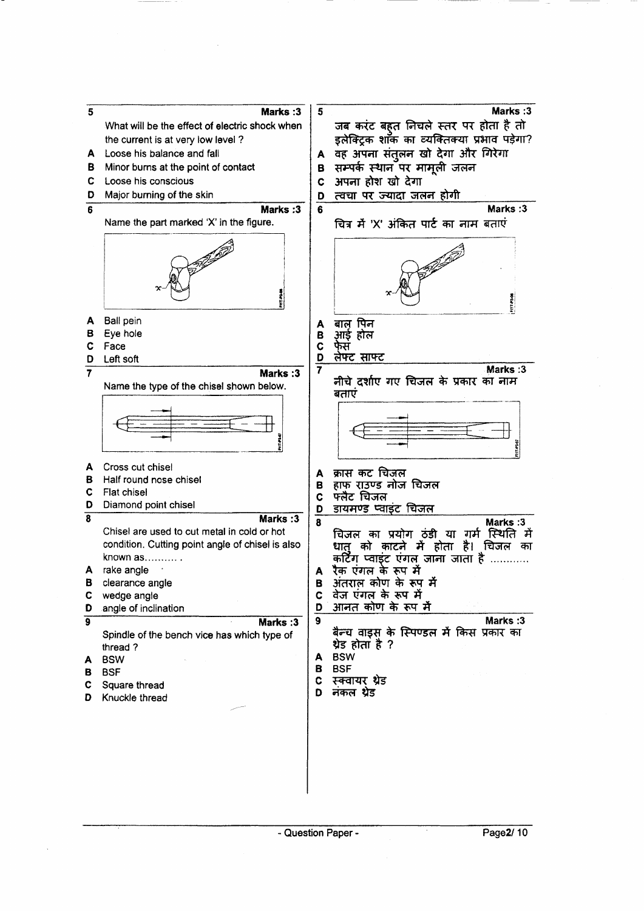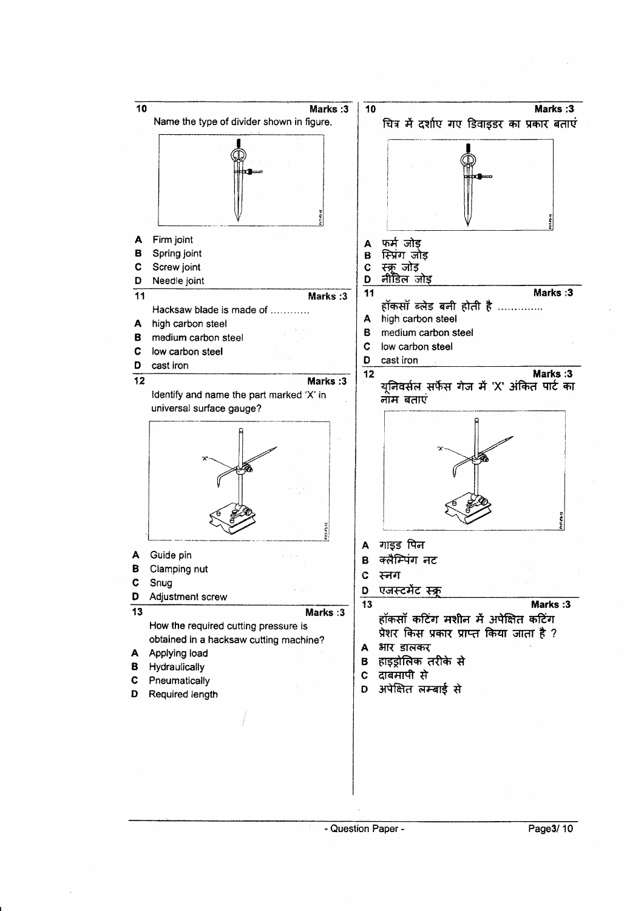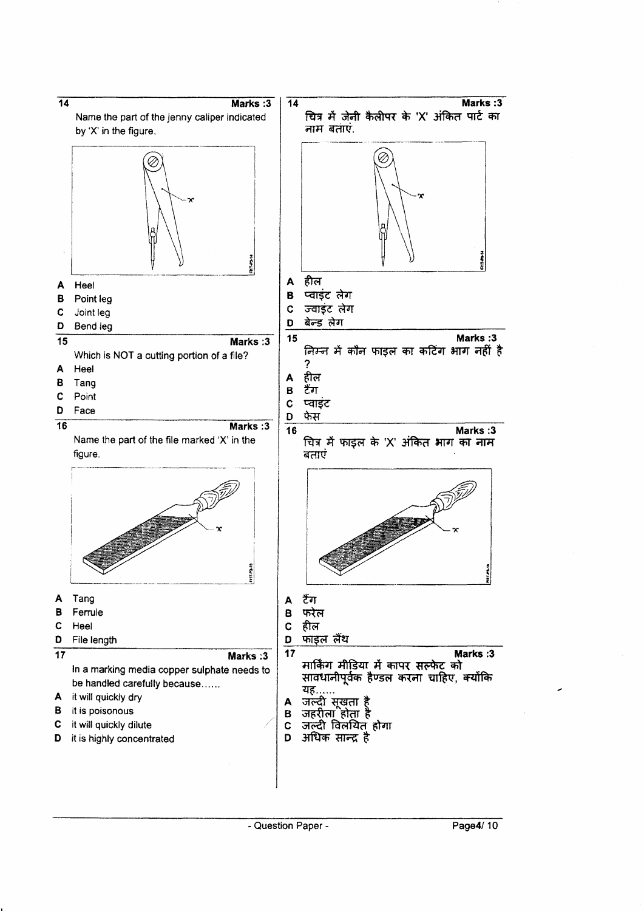

Page4/10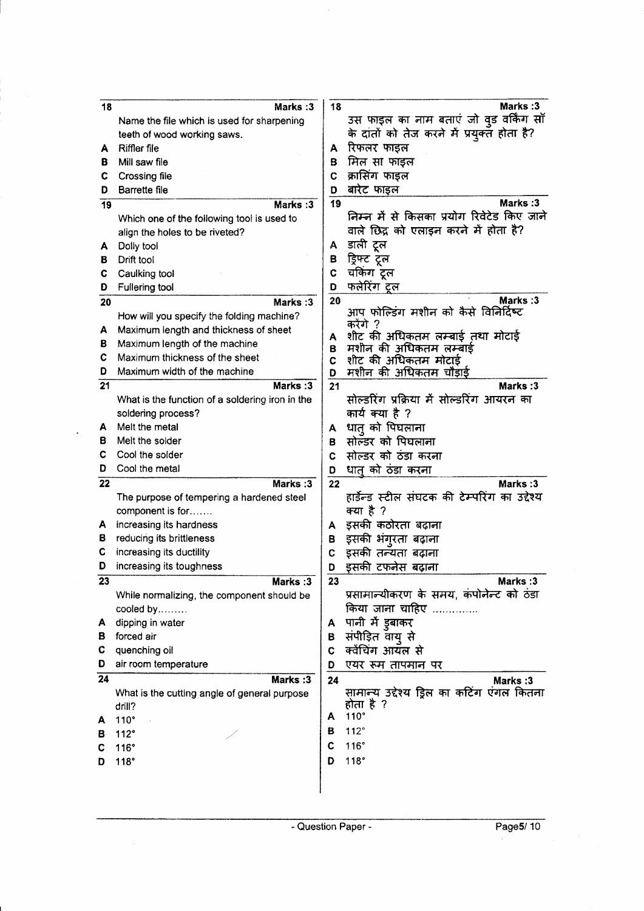| 18              | Marks: 3                                        | 18     | <b>Marks:3</b>                                          |
|-----------------|-------------------------------------------------|--------|---------------------------------------------------------|
|                 | Name the file which is used for sharpening      |        | उस फाइल का नाम बताएं जो वुड वर्किंग साँ                 |
|                 | teeth of wood working saws.                     |        | के दांतों को तेज करने में प्रयुक्त होता है?             |
| А               | Riffler file                                    | Α      | रिफलर फाइल                                              |
| в               | Mill saw file                                   | в      | मिल सा फाइल                                             |
| С               | <b>Crossing file</b>                            | C      | क्रासिंग फाइल                                           |
| D               | Barrette file                                   | D      | बारेट फाइल                                              |
| 19              | Marks:3                                         | 19     | Marks: 3                                                |
|                 | Which one of the following tool is used to      |        | निम्न में से किसका प्रयोग रिवेटेड किए जाने              |
|                 | align the holes to be riveted?                  |        | वाले छिद्र को एलाइन करने में होता है?                   |
| А               | Dolly tool                                      | Α      | डाली टूल                                                |
| в               | Drift tool                                      | в      | ड्रिफ्ट टूल                                             |
| С               | Caulking tool                                   | C      | चकिंग टूल                                               |
| D               | <b>Fullering tool</b>                           | D      | फलेरिंग ट्रल                                            |
| 20              | <b>Marks:3</b>                                  | 20     | Marks:3                                                 |
|                 | How will you specify the folding machine?       |        | आप फोल्डिंग मशीन को कैसे विनिर्दिष्ट                    |
| Α               | Maximum length and thickness of sheet           |        | करेंगे ?                                                |
| в               | Maximum length of the machine                   | A<br>в | शीट की अधिकतम लम्बाई तथा मोटाई<br>मशीन की अधिकतम लम्बाई |
| С               | Maximum thickness of the sheet                  | C      | शीट की अधिकतम मोटाई                                     |
| D               | Maximum width of the machine                    | D      | मशीन की अधिकतम चौड़ाई                                   |
| 21              | Marks:3                                         | 21     | Marks: 3                                                |
|                 | What is the function of a soldering iron in the |        | सोल्डरिंग प्रक्रिया में सोल्डरिंग आयरन का               |
|                 | soldering process?                              |        | कार्य क्या है ?                                         |
| А               | Melt the metal                                  | А      | धात को पिघलाना                                          |
| в               | Melt the solder                                 | в      | सोल्डर को पिघलाना                                       |
| С               | Cool the solder                                 | C      | सोल्डर को ठंडा करना                                     |
| D               | Cool the metal                                  | D      | धात को ठंडा करना                                        |
| 22              | Marks: 3                                        | 22     | Marks: 3                                                |
|                 | The purpose of tempering a hardened steel       |        | हार्डेन्ड स्टील संघटक की टेम्परिंग का उद्देश्य          |
|                 | component is for                                |        | क्या है ?                                               |
| A               | increasing its hardness                         | А      | इसकी कठोरता बढ़ाना                                      |
| в               | reducing its brittleness                        | в      | इसकी भंगूरता बढ़ाना                                     |
| С               | increasing its ductility                        | C      | इसकी तन्यता बढ़ाना                                      |
| D               | increasing its toughness                        | D      | इसकी टफनेस बढ़ाना                                       |
| 23              | <b>Marks:3</b>                                  | 23     | Marks :3                                                |
|                 | While normalizing, the component should be      |        | प्रसामान्यीकरण के समय, कंपोनेन्ट को ठंडा                |
|                 | cooled by                                       |        | किया जाना चाहिए                                         |
| Α               | dipping in water                                | A.     | पानी में इबाकर                                          |
| в               | forced air                                      | в      | संपीड़ित वायु से                                        |
| С               | quenching oil                                   | C      | क्वेंचिंग आयंत से                                       |
| D               | air room temperature                            | D      | एयर रूम तापमान पर                                       |
| $\overline{24}$ | Marks: 3                                        | 24     | <b>Marks:3</b>                                          |
|                 | What is the cutting angle of general purpose    |        | सामान्य उद्देश्य ड्रिल का कटिंग एंगल कितना<br>होता है ? |
|                 | drill?                                          | A      | $110^\circ$                                             |
| А               | $110^\circ$                                     | в      | $112^\circ$                                             |
| в               | 112°                                            | C      | 116°                                                    |
| С               | 116°                                            | D      | 118°                                                    |
| D               | 118°                                            |        |                                                         |
|                 |                                                 |        |                                                         |
|                 |                                                 |        |                                                         |

 $\ddot{\phantom{0}}$ 

 $\bar{\beta}$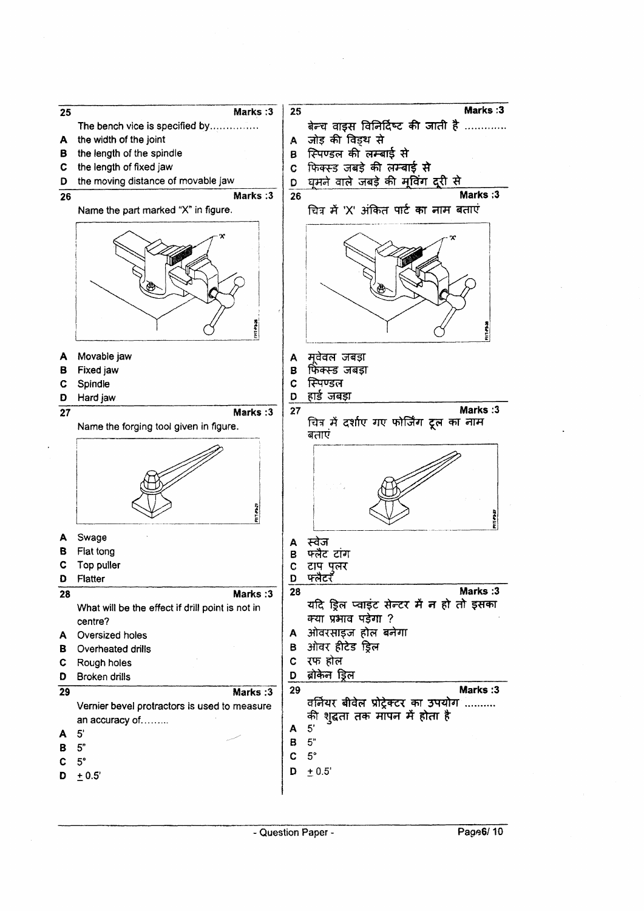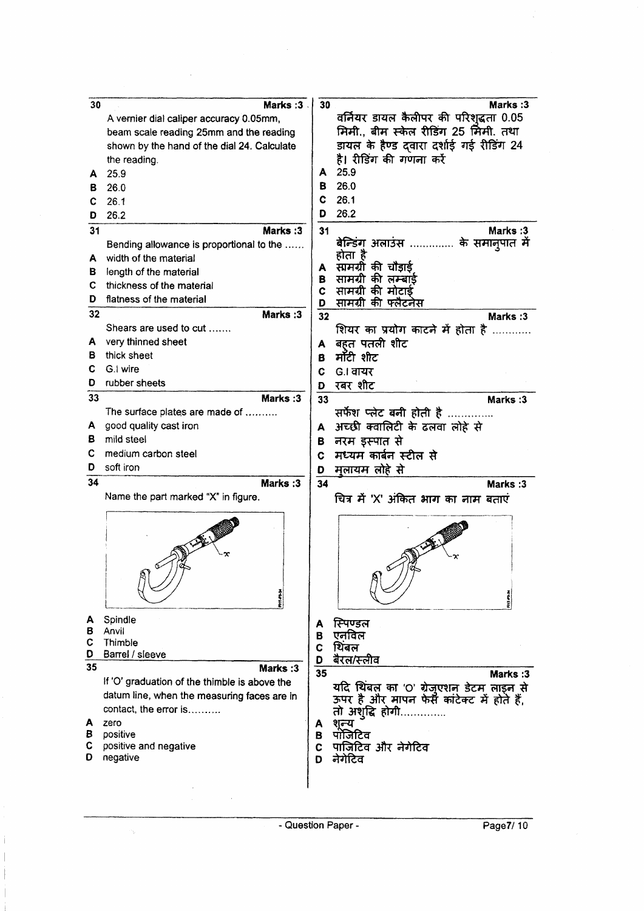| 30     | Marks: 3                                      | 30     | <b>Marks:3</b>                                |
|--------|-----------------------------------------------|--------|-----------------------------------------------|
|        | A vernier dial caliper accuracy 0.05mm,       |        | वर्नियर डायल कैलीपर की परिशुद्धता 0.05        |
|        | beam scale reading 25mm and the reading       |        | मिमी., बीम स्केल रीडिंग 25 मिमी. तथा          |
|        | shown by the hand of the dial 24. Calculate   |        | डायल के हैण्ड दवारा दर्शाई गई रीडिंग 24       |
|        | the reading.                                  |        | है। रीडिंग की गणना करें                       |
| A      | 25.9                                          | A      | 25.9                                          |
| в      | 26.0                                          | в      | 26.0                                          |
| C.     | 26.1                                          | c      | 26.1                                          |
|        |                                               | D      | 26.2                                          |
| D      | 26.2                                          |        |                                               |
| 31     | Marks: 3                                      | 31     | Marks: 3                                      |
|        | Bending allowance is proportional to the      |        | बेन्डिंग अलाउंस<br>के समानुपात में<br>होता है |
| A      | width of the material                         | A      | सामग्री की चौडाई                              |
| в      | length of the material                        | в      | सामग्री की लम्बाई                             |
| С      | thickness of the material                     | C      | सामग्री की मोटाई                              |
| D      | flatness of the material                      | D      | सामग्री की फ्लैटनेस                           |
| 32     | Marks: 3                                      | 32     | Marks: 3                                      |
|        | Shears are used to cut                        |        | शियर का प्रयोग काटने में होता है              |
| A.     | very thinned sheet                            | A      | बहत पतली शीट                                  |
| в      | thick sheet                                   | в      | मॉटी शीट                                      |
| С      | G.I wire                                      | С      | G.I वायर                                      |
| D      | rubber sheets                                 | D      | रबर शीट                                       |
| 33     | Marks:3                                       | 33     | Marks: 3                                      |
|        | The surface plates are made of                |        | सर्फेश प्लेट बनी होती है                      |
| А      | good quality cast iron                        | A      | अच्छी क्वालिटी के ढलवा लोहे से                |
| в      | mild steel                                    |        | नरम इस्पात से                                 |
| С      | medium carbon steel                           | в<br>C | मध्यम कार्बन स्टील से                         |
| D      | soft iron                                     |        |                                               |
| 34     |                                               | D      | मुलायम लोहे से                                |
|        | Marks:3                                       | 34     | Marks: 3                                      |
|        | Name the part marked "X" in figure.           |        | चित्र में 'X' अंकित भाग का नाम बताएं          |
|        |                                               |        |                                               |
|        |                                               |        |                                               |
|        |                                               |        |                                               |
|        |                                               |        |                                               |
|        | Ń)                                            |        |                                               |
|        |                                               |        |                                               |
|        | <b>Philadel</b>                               |        |                                               |
|        |                                               |        |                                               |
| A      | Spindle                                       | A      | स्पिण्डल                                      |
| в<br>С | Anvil<br>Thimble                              | в      | एनविल                                         |
| D      | Barrel / sleeve                               | C      | थिंबल                                         |
| 35     | Marks: 3                                      | D      | बैरल/स्लीव                                    |
|        | If 'O' graduation of the thimble is above the | 35     | Marks: 3                                      |
|        | datum line, when the measuring faces are in   |        | यदि थिंबल का 'O' ग्रेजुएशन डेटम लाइन से       |
|        |                                               |        | ऊपर है और मापन फेर्स कांटेक्ट में होते हैं,   |
|        | contact, the error is                         |        | तो अशुद्धि होगी.                              |
| A<br>в | zero<br>positive                              | Α<br>в | शन्य<br>पॉजिटिव                               |
| С      | positive and negative                         | C      | पाजिटिव और नेगेटिव                            |
| D      | negative                                      | D      | नेगेटिव                                       |
|        |                                               |        |                                               |
|        |                                               |        |                                               |
|        |                                               |        |                                               |

 $\bar{z}$ 

 $\phi_{\tilde{\psi}}$ 

 $\mathfrak{j}$  $\mathfrak{f}$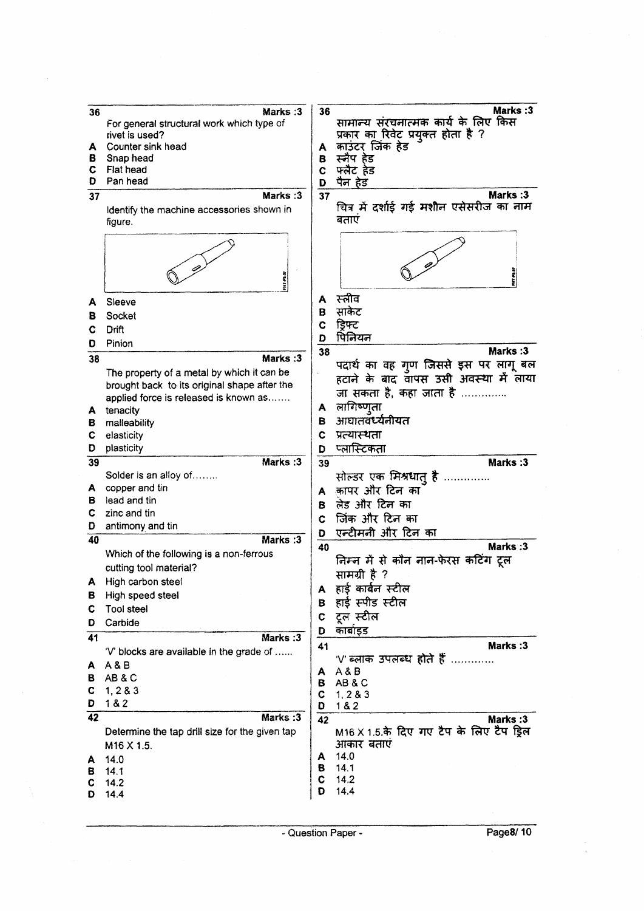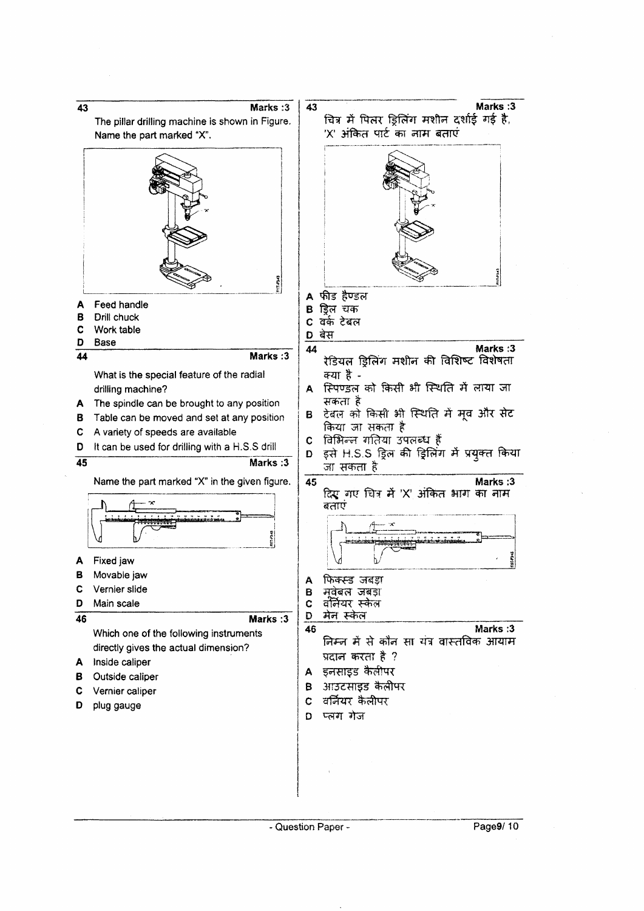

Page9/10